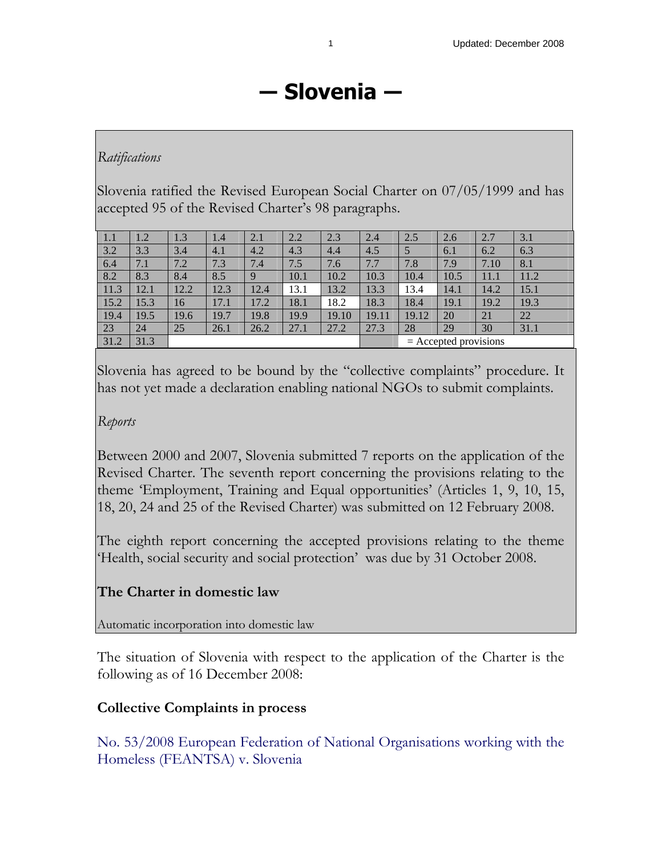# **― Slovenia ―**

## *Ratifications*

Slovenia ratified the Revised European Social Charter on 07/05/1999 and has accepted 95 of the Revised Charter's 98 paragraphs.

| 1.1  | 1.2  | 1.3  | 1.4  | 2.1  | 2.2  | 2.3   | 2.4   | 2.5                     | 2.6  | 2.7  | 3.1  |
|------|------|------|------|------|------|-------|-------|-------------------------|------|------|------|
| 3.2  | 3.3  | 3.4  | 4.1  | 4.2  | 4.3  | 4.4   | 4.5   | 5                       | 6.1  | 6.2  | 6.3  |
| 6.4  | 7.1  | 7.2  | 7.3  | 7.4  | 7.5  | 7.6   | 7.7   | 7.8                     | 7.9  | 7.10 | 8.1  |
| 8.2  | 8.3  | 8.4  | 8.5  | 9    | 10.1 | 10.2  | 10.3  | 10.4                    | 10.5 | 11.1 | 11.2 |
| 11.3 | 12.1 | 12.2 | 12.3 | 12.4 | 13.1 | 13.2  | 13.3  | 13.4                    | 14.1 | 14.2 | 15.1 |
| 15.2 | 15.3 | 16   | 17.1 | 17.2 | 18.1 | 18.2  | 18.3  | 18.4                    | 19.1 | 19.2 | 19.3 |
| 19.4 | 19.5 | 19.6 | 19.7 | 19.8 | 19.9 | 19.10 | 19.11 | 19.12                   | 20   | 21   | 22   |
| 23   | 24   | 25   | 26.1 | 26.2 | 27.1 | 27.2  | 27.3  | 28                      | 29   | 30   | 31.1 |
| 31.2 | 31.3 |      |      |      |      |       |       | $=$ Accepted provisions |      |      |      |

Slovenia has agreed to be bound by the "collective complaints" procedure. It has not yet made a declaration enabling national NGOs to submit complaints.

## *Reports*

Between 2000 and 2007, Slovenia submitted 7 reports on the application of the Revised Charter. The seventh report concerning the provisions relating to the theme 'Employment, Training and Equal opportunities' (Articles 1, 9, 10, 15, 18, 20, 24 and 25 of the Revised Charter) was submitted on 12 February 2008.

The eighth report concerning the accepted provisions relating to the theme 'Health, social security and social protection' was due by 31 October 2008.

# **The Charter in domestic law**

Automatic incorporation into domestic law

The situation of Slovenia with respect to the application of the Charter is the following as of 16 December 2008:

## **Collective Complaints in process**

No. 53/2008 European Federation of National Organisations working with the Homeless (FEANTSA) v. Slovenia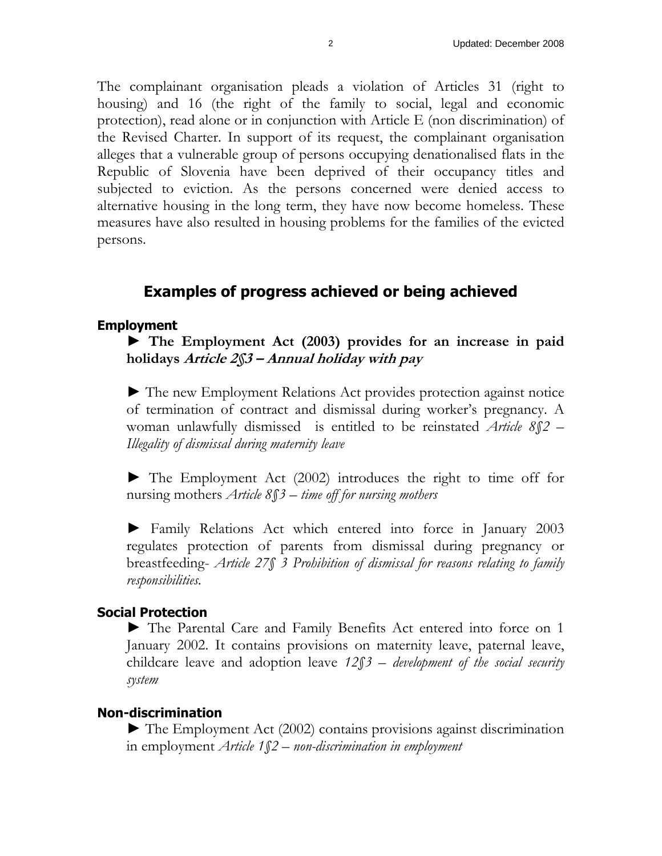The complainant organisation pleads a violation of Articles 31 (right to housing) and 16 (the right of the family to social, legal and economic protection), read alone or in conjunction with Article E (non discrimination) of the Revised Charter. In support of its request, the complainant organisation alleges that a vulnerable group of persons occupying denationalised flats in the Republic of Slovenia have been deprived of their occupancy titles and subjected to eviction. As the persons concerned were denied access to alternative housing in the long term, they have now become homeless. These measures have also resulted in housing problems for the families of the evicted persons.

# **Examples of progress achieved or being achieved**

#### **Employment**

► **The Employment Act (2003) provides for an increase in paid holidays Article 2§3 – Annual holiday with pay** 

► The new Employment Relations Act provides protection against notice of termination of contract and dismissal during worker's pregnancy. A woman unlawfully dismissed is entitled to be reinstated *Article 8§2 – Illegality of dismissal during maternity leave* 

► The Employment Act (2002) introduces the right to time off for nursing mothers *Article 8§3 – time off for nursing mothers* 

► Family Relations Act which entered into force in January 2003 regulates protection of parents from dismissal during pregnancy or breastfeeding- *Article 27§ 3 Prohibition of dismissal for reasons relating to family responsibilities.* 

#### **Social Protection**

► The Parental Care and Family Benefits Act entered into force on 1 January 2002. It contains provisions on maternity leave, paternal leave, childcare leave and adoption leave *12§3 – development of the social security system* 

#### **Non-discrimination**

► The Employment Act (2002) contains provisions against discrimination in employment *Article 1§2 – non-discrimination in employment*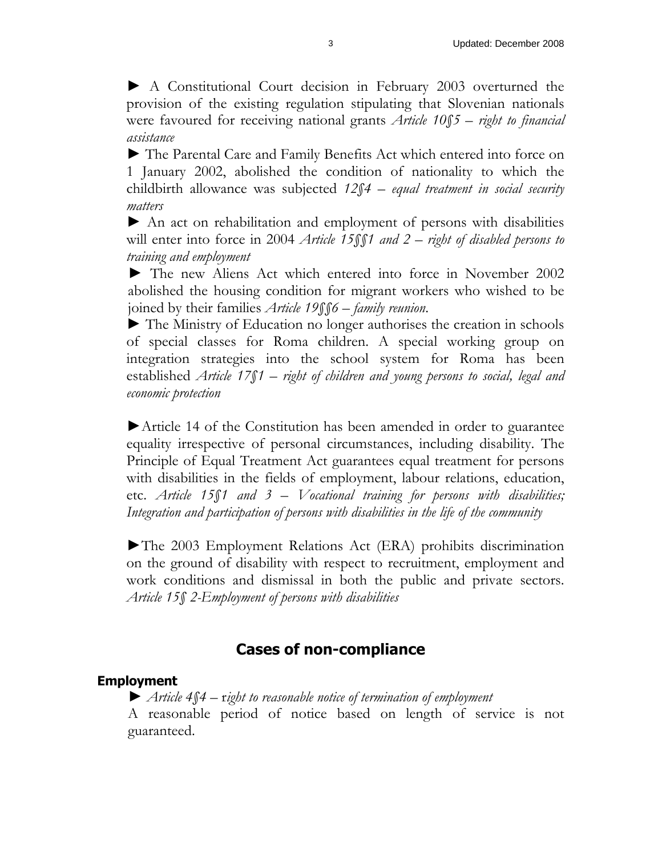► A Constitutional Court decision in February 2003 overturned the provision of the existing regulation stipulating that Slovenian nationals were favoured for receiving national grants *Article 10§5 – right to financial assistance*

► The Parental Care and Family Benefits Act which entered into force on 1 January 2002, abolished the condition of nationality to which the childbirth allowance was subjected *12§4 – equal treatment in social security matters*

► An act on rehabilitation and employment of persons with disabilities will enter into force in 2004 *Article 15§§1 and 2 – right of disabled persons to training and employment*

► The new Aliens Act which entered into force in November 2002 abolished the housing condition for migrant workers who wished to be joined by their families *Article 19§§6 – family reunion*.

► The Ministry of Education no longer authorises the creation in schools of special classes for Roma children. A special working group on integration strategies into the school system for Roma has been established *Article 17§1 – right of children and young persons to social, legal and economic protection* 

►Article 14 of the Constitution has been amended in order to guarantee equality irrespective of personal circumstances, including disability. The Principle of Equal Treatment Act guarantees equal treatment for persons with disabilities in the fields of employment, labour relations, education, etc. *Article 15§1 and 3 – Vocational training for persons with disabilities; Integration and participation of persons with disabilities in the life of the community* 

►The 2003 Employment Relations Act (ERA) prohibits discrimination on the ground of disability with respect to recruitment, employment and work conditions and dismissal in both the public and private sectors. *Article 15§ 2-Employment of persons with disabilities* 

# **Cases of non-compliance**

## **Employment**

► *Article 4§4 –* r*ight to reasonable notice of termination of employment* A reasonable period of notice based on length of service is not guaranteed.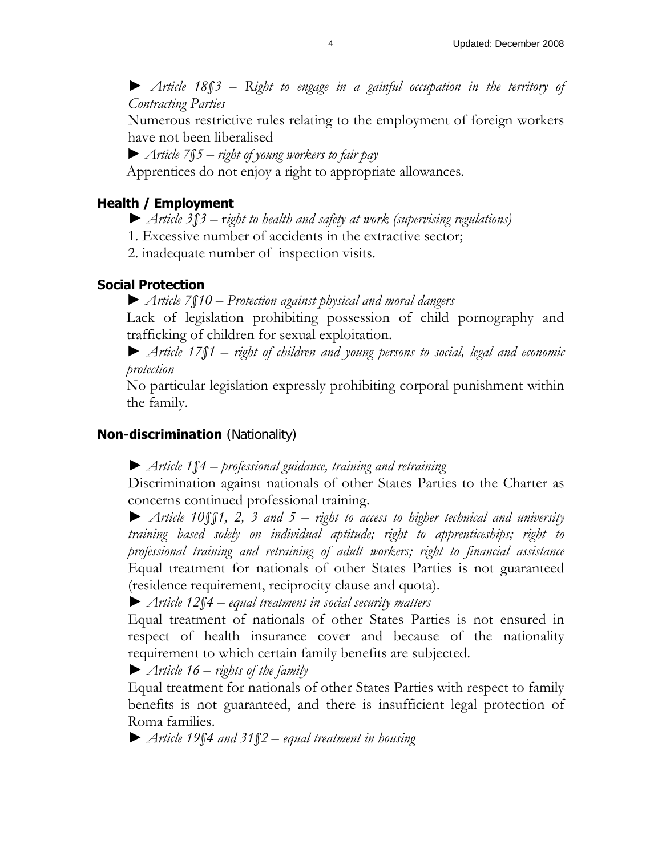► *Article 18§3 – Right to engage in a gainful occupation in the territory of Contracting Parties* 

Numerous restrictive rules relating to the employment of foreign workers have not been liberalised

*► Article 7§5 – right of young workers to fair pay* 

Apprentices do not enjoy a right to appropriate allowances.

## **Health / Employment**

- ► *Article 3§3 –* r*ight to health and safety at work (supervising regulations)*
- 1. Excessive number of accidents in the extractive sector;

2. inadequate number of inspection visits.

## **Social Protection**

► *Article 7§10 – Protection against physical and moral dangers*

Lack of legislation prohibiting possession of child pornography and trafficking of children for sexual exploitation.

► *Article 17§1 – right of children and young persons to social, legal and economic protection*

No particular legislation expressly prohibiting corporal punishment within the family.

## **Non-discrimination** (Nationality)

► *Article 1§4 – professional guidance, training and retraining*

Discrimination against nationals of other States Parties to the Charter as concerns continued professional training.

► *Article 10§§1, 2, 3 and 5 – right to access to higher technical and university training based solely on individual aptitude; right to apprenticeships; right to professional training and retraining of adult workers; right to financial assistance* Equal treatment for nationals of other States Parties is not guaranteed (residence requirement, reciprocity clause and quota).

► *Article 12§4 – equal treatment in social security matters*

Equal treatment of nationals of other States Parties is not ensured in respect of health insurance cover and because of the nationality requirement to which certain family benefits are subjected.

► *Article 16 – rights of the family*

Equal treatment for nationals of other States Parties with respect to family benefits is not guaranteed, and there is insufficient legal protection of Roma families.

► *Article 19§4 and 31§2 – equal treatment in housing*